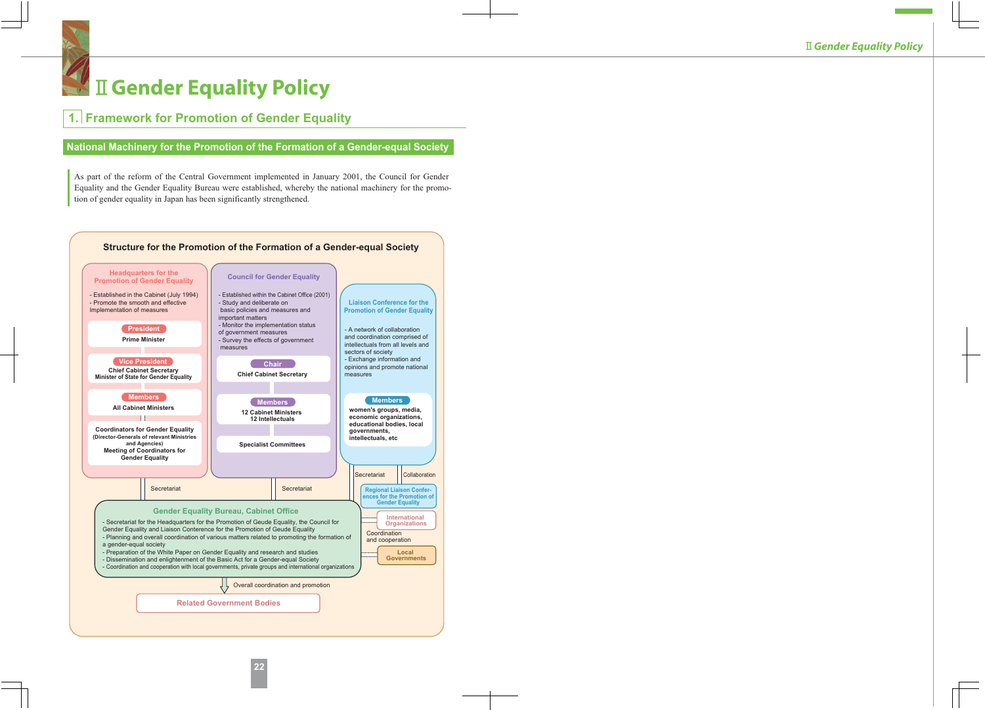# **A II Gender Equality Policy**

# **1. Framework for Promotion of Gender Equality**

# **National Machinery for the Promotion of the Formation of a Gender-equal Society**

As part of the reform of the Central Government implemented in January 2001, the Council for Gender Equality and the Gender Equality Bureau were established, whereby the national machinery for the promotion of gender equality in Japan has been significantly strengthened.

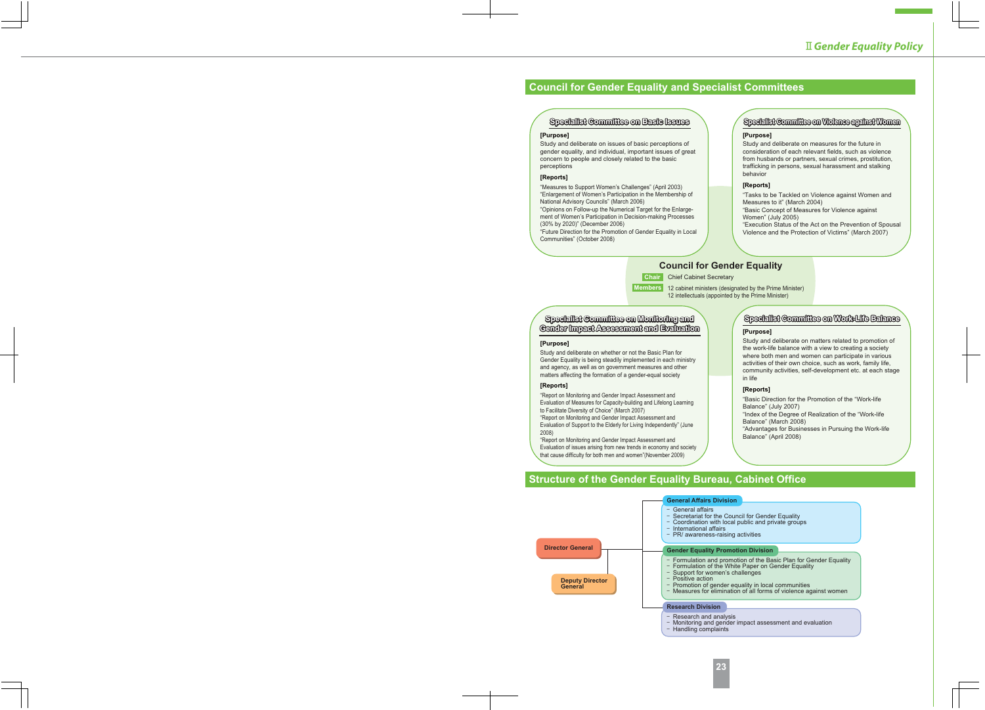# **Council for Gender Equality and Specialist Committees**

## **Specialist Committee on Basic Issues pecialist**

#### **[Purpose]**

Study and deliberate on issues of basic perceptions of gender equality, and individual, important issues of great concern to people and closely related to the basic perceptions

#### **[Reports]**

"Measures to Support Women's Challenges" (April 2003) "Enlargement of Women's Participation in the Membership of National Advisory Councils" (March 2006)

"Opinions on Follow-up the Numerical Target for the Enlargement of Women's Participation in Decision-making Processes (30% by 2020)" (December 2006)

"Future Direction for the Promotion of Gender Equality in Local Communities" (October 2008)

## **Specialist Committee on Violence against Women pecialist**

#### **[Purpose]**

Study and deliberate on measures for the future in consideration of each relevant fields, such as violence from husbands or partners, sexual crimes, prostitution, trafficking in persons, sexual harassment and stalking behavior

#### **[Reports]**

"Tasks to be Tackled on Violence against Women and Measures to it" (March 2004) "Basic Concept of Measures for Violence against Women" (July 2005)

"Execution Status of the Act on the Prevention of Spousal Violence and the Protection of Victims" (March 2007)

# **Council for Gender Equality**

**Chair** Chief Cabinet Secretary

**Members** 12 cabinet ministers (designated by the Prime Minister)

12 intellectuals (appointed by the Prime Minister)

## **Specialist Committee on Monitoring and Gender Impact Assessment and Evaluation**

#### **[Purpose]**

Study and deliberate on whether or not the Basic Plan for Gender Equality is being steadily implemented in each ministry and agency, as well as on government measures and other matters affecting the formation of a gender-equal society

#### **[Reports]**

"Report on Monitoring and Gender Impact Assessment and Evaluation of Measures for Capacity-building and Lifelong Learning to Facilitate Diversity of Choice" (March 2007) "Report on Monitoring and Gender Impact Assessment and

Evaluation of Support to the Elderly for Living Independently" (June 2008)

that cause difficulty for both men and women"(November 2009) "Report on Monitoring and Gender Impact Assessment and Evaluation of issues arising from new trends in economy and society

# **Specialist Committee on Work-Life Balance pecialist**

#### **[Purpose]**

Study and deliberate on matters related to promotion of the work-life balance with a view to creating a society where both men and women can participate in various activities of their own choice, such as work, family life, community activities, self-development etc. at each stage in life

#### **[Reports]**

"Basic Direction for the Promotion of the "Work-life Balance" (July 2007)

"Index of the Degree of Realization of the "Work-life Balance" (March 2008)

"Advantages for Businesses in Pursuing the Work-life Balance" (April 2008)

# **Structure of the Gender Equality Bureau, Cabinet Office**



Research and analysis

- Monitoring and gender impact assessment and evaluation
- Handling complaints